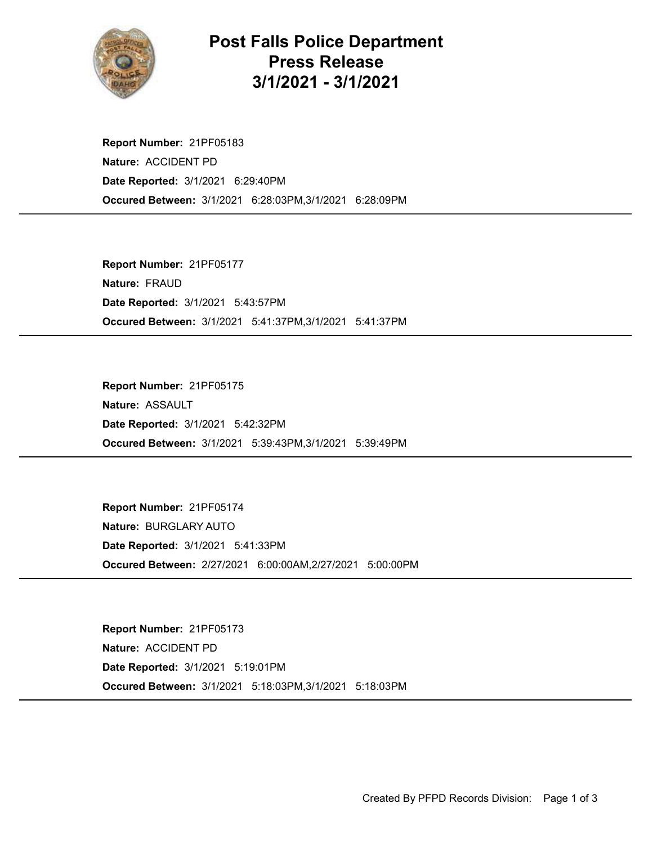

## Post Falls Police Department Press Release 3/1/2021 - 3/1/2021

Occured Between: 3/1/2021 6:28:03PM,3/1/2021 6:28:09PM Report Number: 21PF05183 Nature: ACCIDENT PD Date Reported: 3/1/2021 6:29:40PM

Occured Between: 3/1/2021 5:41:37PM,3/1/2021 5:41:37PM Report Number: 21PF05177 Nature: FRAUD Date Reported: 3/1/2021 5:43:57PM

Occured Between: 3/1/2021 5:39:43PM,3/1/2021 5:39:49PM Report Number: 21PF05175 Nature: ASSAULT Date Reported: 3/1/2021 5:42:32PM

Occured Between: 2/27/2021 6:00:00AM,2/27/2021 5:00:00PM Report Number: 21PF05174 Nature: BURGLARY AUTO Date Reported: 3/1/2021 5:41:33PM

Occured Between: 3/1/2021 5:18:03PM,3/1/2021 5:18:03PM Report Number: 21PF05173 Nature: ACCIDENT PD Date Reported: 3/1/2021 5:19:01PM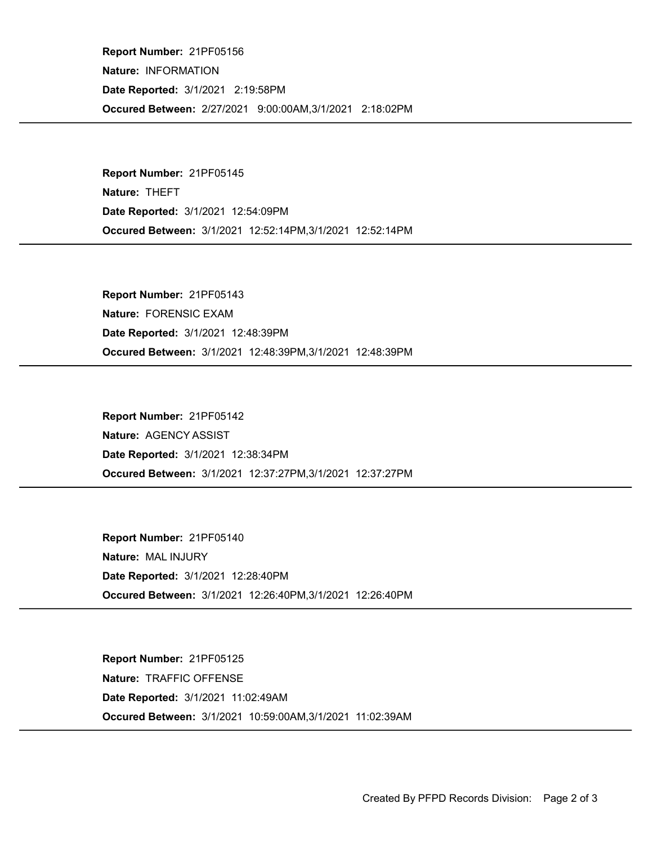Occured Between: 2/27/2021 9:00:00AM,3/1/2021 2:18:02PM Report Number: 21PF05156 Nature: INFORMATION Date Reported: 3/1/2021 2:19:58PM

Occured Between: 3/1/2021 12:52:14PM,3/1/2021 12:52:14PM Report Number: 21PF05145 Nature: THEFT Date Reported: 3/1/2021 12:54:09PM

Occured Between: 3/1/2021 12:48:39PM,3/1/2021 12:48:39PM Report Number: 21PF05143 Nature: FORENSIC EXAM Date Reported: 3/1/2021 12:48:39PM

Occured Between: 3/1/2021 12:37:27PM,3/1/2021 12:37:27PM Report Number: 21PF05142 Nature: AGENCY ASSIST Date Reported: 3/1/2021 12:38:34PM

Occured Between: 3/1/2021 12:26:40PM,3/1/2021 12:26:40PM Report Number: 21PF05140 Nature: MAL INJURY Date Reported: 3/1/2021 12:28:40PM

Occured Between: 3/1/2021 10:59:00AM,3/1/2021 11:02:39AM Report Number: 21PF05125 Nature: TRAFFIC OFFENSE Date Reported: 3/1/2021 11:02:49AM